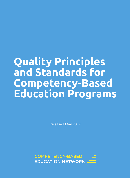# **Quality Principles and Standards for Competency-Based Education Programs**

Released May 2017

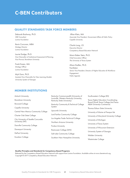### **C-BEN Contributors**

### QUALITY STANDARDS TASK FORCE MEMBERS

Deborah Bushway, Ph.D. *CBE Consultant Lumina Foundation*

Kevin Corcoran, MBA *Strategy Director Lumina Foundation*

Laurie Dodge, Ph.D. *Vice Chancellor of Institutional Assessment & Planning, Vice Provost, Brandman University*

Frank Essien, MA *Strategy Officer Lumina Foundation*

Myk Garn, Ph.D. *Assistant Vice Chancellor for New Learning Models University System of Georgia*

 Jillian Klein, MA *Associate Vice President, Government Affairs & Public Policy Capella University*

Charla Long, J.D. *Executive Director Competency-Based Education Network*

Marni Baker Stein, Ph.D. *Chief Innovation Officer The University of Texas System*

Alison Kadlec, Ph.D. Facilitator *Senior Vice President, Director of Higher Education & Workforce Engagement Public Agenda*

### MEMBER INSTITUTIONS

| <b>Antioch University</b>            | Kentucky Commonwealth (University of                                   | Southwestern College (KS)                                                   |
|--------------------------------------|------------------------------------------------------------------------|-----------------------------------------------------------------------------|
| <b>Brandman University</b>           | Louisville, Western Kentucky University,<br>Kentucky State University) | Texas Higher Education Coordinating<br>Board (South Texas College And Texas |
| <b>Broward College</b>               | Kentucky Community & Technical College                                 | A&M University-Commerce)                                                    |
| Capella University                   | System                                                                 | Thomas Edison State University                                              |
| Central New Mexico Community College | Lipscomb University                                                    | University of Maine at Presque Isle                                         |
| Charter Oak State College            | Lord Fairfax Community College                                         | University of Maryland University College                                   |
| City University of Seattle Concordia | Los Angeles Trade-Technical College                                    | University of Michigan                                                      |
| University (WI)                      | Northern Arizona University                                            | University of Texas System                                                  |
| <b>Danville Community College</b>    | <b>Purdue University</b>                                               |                                                                             |
| <b>Davenport University</b>          | Rasmussen College (MN)                                                 | University of Wisconsin-Extension                                           |
| DePaul University                    | Salt Lake Community College                                            | University System of Georgia                                                |
| <b>Excelsior College</b>             |                                                                        | <b>Walden University</b>                                                    |
|                                      | Southern New Hampshire University                                      | Westminster College                                                         |

### Quality Principles and Standards for Competency-Based Programs

Released by the Competency-Based Education Network with support from Lumina Foundation. Available online at www.cbenetwork.org. Copyright © 2017 Competency-Based Education Network.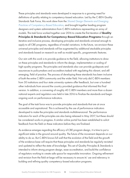These principles and standards were developed in response to a growing need for definitions of quality relating to competency-based education. Led by the C-BEN Quality Standards Task Force, this work drew from the *Shared Design Elements and Emerging Practices of Competency-Based Education*, and brought together leading program designers and system administrators from C-BEN institutions representing an array of models. This task force worked together over 2016 to create the first iteration of **Quality** Principles & Standards for Competency-Based Education Programs through an iterative and inclusive process, developing principles and standards universal enough to apply to all CBE programs, regardless of model variations. In the future, we envision these universal principles and standards will be augmented by additional stackable principles and standards based on research as well as model-specific, programmatic features.

Our aim with this work is to provide guidance to the field, allowing institutions to draw on these principles and standards to inform the design, implementation or scaling of high-quality programs. The principles and standards also can provide guideposts and assurances to policymakers and accreditors tasked with regulating this vibrant, and still emerging, field of practice. The process of developing these standards has been inclusive of both the entire C-BEN community and the wider field. Not only did C-BEN members from 30 institutions and four state university-systems offer feedback, but over a hundred other individuals from around the country provided guidance that informed this final version. In addition, a convening of roughly 40 C-BEN members and more than a dozen national experts and regulators was held in late 2016 to finalize the standards and begin ongoing work on performance indicators.

The goal of the task force was to provide principles and standards that are at once accessible and aspirational. This is achieved by the use of performance indicators developed to make the principles and standards multidimensional. The performance indicators for each of the principles are also being released in May 2017, but these should be considered works in progress. A similar online portal has been established to solicit feedback from the field on these indicators before they are finalized.

As evidence emerges regarding the efficacy of CBE program design, it is time to put a significant stake in the ground around quality. The future of the movement depends on our ability to do so. But C-BEN knows full well that the evolution of the field and the growth of the evidence base will require that these principles and standards be regularly revisited and updated to reflect the state of knowledge. This set of Quality Principles & Standards is intended to inform strong program design, ease accreditation, and build the confidence of regulators working to create safe space for responsible innovation. Ongoing refinement and revision from the field at-large will be necessary to ensure its' use and relevancy in building and refining quality competency-based education programs.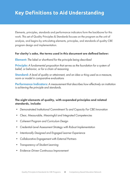# **Key Definitions to Aid Understanding**

Elements, principles, standards and performance indicators form the backbone for this work. This set of Quality Principles & Standards focuses on the program as the unit of analysis, and begins by articulating elements, principles, and standards of quality CBE program design and implementation.

### For clarity's sake, the terms used in this document are defined below:

Element: *The label or shorthand for the principle being described*

**Principle:** A fundamental proposition that serves as the foundation for a system of *belief, or behavior, or for a chain of reasoning*

Standard: *A level of quality or attainment, and an idea or thing used as a measure, norm or model in comparative evaluations*

Performance Indicators: *A measurement that describes how effectively an institution is achieving the principle and standards.*

### The eight elements of quality, with expanded principles and related standards, include:

- *• Demonstrated Institutional Commitment To and Capacity For CBE Innovation*
- *• Clear, Measurable, Meaningful and Integrated Competencies*
- *• Coherent Program and Curriculum Design*
- *• Credential-Level Assessment Strategy with Robust Implementation*
- *• Intentionally Designed and Engaged Learner Experience*
- *• Collaborative Engagement with External Partners*
- *• Transparency of Student Learning*
- *• Evidence-Driven Continuous Improvement*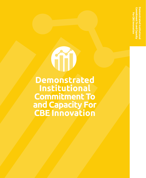**Demonstrated Institutional Commitment To and Capacity For CBE Innovation**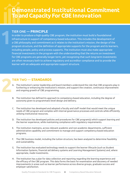### TIER ONE — **PRINCIPLE**

**1**

In order to produce a high quality CBE program, the institution must build a foundational infrastructure in support of competency-based education. This includes the development of a CBE philosophy and commitment as it relates to the institution's mission, the design of the program structure, and the definition of appropriate supports for the program and its learners, including people, policy and process supports. The institution must also make appropriate financial investments in the program with the understanding that the returns on investment for CBE programs are generally longer term, yet recognizing that such long-term investments are often necessary both to achieve regulatory and accreditor compliance and to provide the learner with an adequate and appropriate support structure.

- A. The institution's senior leadership and board members understand the role that CBE programs play in furthering or enhancing the Institution's mission, and support the creation, continuous improvement and ongoing growth of CBE programming.
- B. The institution has defined its approach to competency-based education, including the degree of autonomy given to programmatic-level design and delivery.
- C. The institution has developed and adopted a faculty and staff model that would meet the unique needs of CBE program and complies with internal governance processes and controls while efficiently utilizing institutional resources.
- D. The institution has developed policies and procedures for CBE program(s) which support learning and the learner experience, while maintaining compliance with regulatory requirements.
- E. The institution maintains, across relevant academic and non-academic departments, sufficient administrative capability and commitment to manage and support competency-based education programs.
- F. The CBE business model, including the tuition structure, has been analyzed to determine feasibility and sustainability.
- G. The institution has evaluated technology needs to support the learner lifecycle (such as Student
- Information Systems, financial aid delivery systems and Learning Management Systems) and, where appropriate, made investments.
- H. The Institution has a plan for data collection and reporting regarding the learning experience and the efficacy of the CBE program. This data forms the basis for examination and discovery of needed improvements in areas such as learner performance across diverse groups, graduate success and employer satisfaction.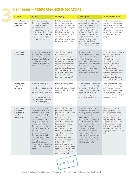| <b>Criteria</b>                                                                         | <b>Initial</b>                                                                                                                                                                                                                                                                                                                                                                                                                                                                                      | <b>Emerging</b>                                                                                                                                                                                                                                                                                                                                                                                                                                                                                                                                                                                                 | <b>Developed</b>                                                                                                                                                                                                                                                                                                                                                                                                                                                                        | <b>Highly Developed</b>                                                                                                                                                                                                                                                                                                                                                                    |
|-----------------------------------------------------------------------------------------|-----------------------------------------------------------------------------------------------------------------------------------------------------------------------------------------------------------------------------------------------------------------------------------------------------------------------------------------------------------------------------------------------------------------------------------------------------------------------------------------------------|-----------------------------------------------------------------------------------------------------------------------------------------------------------------------------------------------------------------------------------------------------------------------------------------------------------------------------------------------------------------------------------------------------------------------------------------------------------------------------------------------------------------------------------------------------------------------------------------------------------------|-----------------------------------------------------------------------------------------------------------------------------------------------------------------------------------------------------------------------------------------------------------------------------------------------------------------------------------------------------------------------------------------------------------------------------------------------------------------------------------------|--------------------------------------------------------------------------------------------------------------------------------------------------------------------------------------------------------------------------------------------------------------------------------------------------------------------------------------------------------------------------------------------|
| Senior leadership<br>support of CBE<br>program                                          | Institutional leadership<br>(e.g., senior leadership<br>and board members)<br>have been informed of<br>the CBE program at the<br>institution, and the program<br>administration and faculty<br>may have a plan in place<br>for program launch.                                                                                                                                                                                                                                                      | Institutional leadership<br>(e.g., senior leadership and<br>board members) have been<br>informed of a CBE program<br>at the institution (e.g.,<br>board meetings, academic<br>leadership meetings, etc.)<br>and initial action steps or<br>plan is in place for program<br>launch and sustainability.                                                                                                                                                                                                                                                                                                           | Institutional leadership (e.g.,<br>senior leadership and board<br>members) understands how<br>the CBE program(s) support<br>the institution's mission, and<br>are committed to allocating<br>required resources for the<br>program. Clear action steps<br>are in place for program<br>sustainability including<br>program design, growth plan,<br>and continuous improvement<br>plan.                                                                                                   | The institutional leadership<br>team understands the long-<br>term ROI for CBE, and has<br>approved a long-term action<br>plan and made investments<br>in the launch, scaling, and<br>sustainability of the CBE<br>program.                                                                                                                                                                |
| <b>Institutional CBE</b><br>philosophy                                                  | Institutional awareness and<br>buy-in of CBE is isolated<br>to a specific program<br>and faculty/staff. There<br>is currently no plan for<br>improving awareness of<br>CBE across the institution.                                                                                                                                                                                                                                                                                                  | The institution is actively<br>considering a CBE<br>approach (e.g., analyzing<br>the cost: benefit ratio relative<br>to a customized program<br>offering). Action steps are<br>being implemented to arrive<br>at a common understanding<br>of and purpose of CBE and<br>the assessment of student<br>learning for the institution<br>(e.g., faculty workshops).                                                                                                                                                                                                                                                 | The institution clearly<br>articulates and agrees upon<br>a common understanding<br>of what CBE is and how the<br>assessment of student learning<br>takes place. On-going action<br>steps are taken to improve<br>institution-wide awareness<br>and engagement (e.g.,<br>institutional focus or advisory<br>group).                                                                                                                                                                     | The institution actively shares<br>their clearly articulated<br>institutional definition of<br>CBE both internally and<br>with external partners.<br>Focused conversations<br>regarding this philosophy<br>result in an increased<br>shared understanding of the<br>definition, and action steps<br>are defined to implement<br>institution-wide changes in<br>support of this philosophy. |
| <b>Faculty and</b><br>support staff<br>structure                                        | A traditional faculty and<br>staff model is in place. New<br>models that support student<br>learning in a CBE program<br>are articulated. Action steps<br>toward this new model<br>and/or specialized roles<br>(e.g., assessment specialist,<br>instructional designer,<br>coach) have been outlined.                                                                                                                                                                                               | Faculty and staff position<br>descriptions reflect an<br>intentional model designed<br>to support the CBE student<br>effectively.                                                                                                                                                                                                                                                                                                                                                                                                                                                                               | Student needs for support are<br>well understood, and faculty<br>and staff models reflect those<br>needs. Faculty/staff identified<br>for specialized roles are<br>aware of and agree on their<br>roles and responsibilities.                                                                                                                                                                                                                                                           | The institution continues to<br>refine the faculty and support<br>staff structure to support<br>the CBE program(s) based<br>on data, including student<br>satisfaction data and student<br>performance data.                                                                                                                                                                               |
| <b>Institutional</b><br><b>CBE</b> policies,<br>processes &<br>regulatory<br>compliance | Policies & processes to<br>implement policies (e.g.,<br>attendance, tuition and<br>fees, transfer policies)<br>required to support<br>the CBE program are<br>being considered. Key<br>internal stakeholders<br>(e.g., Registrar, Business<br>Office, Provost's Office,<br>Technology) and<br>external stakeholders<br>(e.g., accrediting body<br>approvals, federal and<br>state regulations) have<br>been identified and an<br>action plan is in progress to<br>meet student and program<br>needs. | At least half of the relevant<br>policies & the attendant<br>processes (e.g., attendance,<br>tuition and fees, transfer<br>policies, credit hour<br>equivalencies, SAP) to<br>support the CBE program<br>have been revised. Key<br>internal stakeholders<br>(e.g., Registrar, Business<br>Office, Provost's Office,<br>Technology) and external<br>stakeholders (e.g.,<br>accrediting body, federal<br>legislation) are engaged<br>in the ongoing revision<br>process. The institutions is<br>actively pursuing regulatory<br>approvals. An action plan is<br>in progress to meet student<br>and program needs. | Policies & processes (e.g.,<br>attendance, tuition and fees,<br>transter policies, competency<br>master assessment,<br>satisfactory academic<br>progress) are established (i.e.,<br>handbook) and in practice<br>to meet student and program<br>needs, are unique to the<br>institution's CBE program.<br>The institution has secured<br>program approval for its<br>respective CBE program. Key<br>faculty/staff are working to<br>monitor program compliance<br>with these approvals. | Institutional policies &<br>processes which support<br>CBE programs are clearly<br>communicated, including<br>tuition and fees, transfer<br>policies, and satisfactory<br>academic progress. These<br>policies are continuously<br>refined as changes in the<br>program, environment and/<br>or program performance are<br>noted.                                                          |

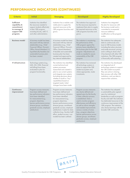### **PERFORMANCE INDICATORS (CONTINUED)**

| <b>Criteria</b>                                                                           | <b>Initial</b>                                                                                                                                                                                                                                                        | <b>Emerging</b>                                                                                                                                                                                                                                                                                                                                                                        | <b>Developed</b>                                                                                                                                                                                                                                                                                                                                                                                                                        | <b>Highly Developed</b>                                                                                                                                                                                                                                                                                                    |
|-------------------------------------------------------------------------------------------|-----------------------------------------------------------------------------------------------------------------------------------------------------------------------------------------------------------------------------------------------------------------------|----------------------------------------------------------------------------------------------------------------------------------------------------------------------------------------------------------------------------------------------------------------------------------------------------------------------------------------------------------------------------------------|-----------------------------------------------------------------------------------------------------------------------------------------------------------------------------------------------------------------------------------------------------------------------------------------------------------------------------------------------------------------------------------------------------------------------------------------|----------------------------------------------------------------------------------------------------------------------------------------------------------------------------------------------------------------------------------------------------------------------------------------------------------------------------|
| <b>Sufficient</b><br>capability &<br>commitment<br>to manage &<br>support CBE<br>program. | Institution has identified<br>the resources needed to<br>support students effectively<br>in their CBE program,<br>including faculty, staff, IT,<br>and other administration.                                                                                          | Institution has a realistic and<br>viable plan to supply the<br>required resources as the<br>CBE programs launches and<br>grows.                                                                                                                                                                                                                                                       | The institution has approval<br>for the resources required to<br>implement their plan to supply<br>the required resources as the<br>CBE programs launches and<br>grows.                                                                                                                                                                                                                                                                 | Institution has integrated<br>the plan for resources with<br>the business model and is<br>committed to incremental<br>resource addition/<br>modification as the program<br>scales.                                                                                                                                         |
| <b>Business model</b>                                                                     | A business model has been<br>discussed with key internal<br>stakeholders (e.g., Chief<br>Financial Officer, Provost's<br>Office, Board Members). A<br>hypothetically feasible and<br>sustainable business plan<br>has been created.                                   | A business model has been<br>discussed with key internal<br>stakeholders (e.g., Chief<br>Financial Officer, Provost's<br>Office, Board Members).<br>A feasible and sustainable<br>business plan has been<br>created and approved by<br>key internal stakeholders.                                                                                                                      | The institution is monitoring<br>the performance of the<br>CBE program against the<br>primary levers identified in<br>the business plan for the CBE<br>program. Adjustments are<br>made as needed to assure<br>sustainability of the CBE<br>program.                                                                                                                                                                                    | The institution has adequate<br>data to continuously ana-<br>lyze its CBE business model,<br>including the tuition structure,<br>and made structural, pricing<br>and is willing to share what<br>it has learned with other CBE<br>institutions. The CBE program<br>is financially self-sustaining.                         |
| <b>IT infrastructure</b>                                                                  | Technology systems (e.g.,<br>LMS, SIS, CRM, financial<br>aid billing) have been<br>evaluated to plan for<br>program functionality.                                                                                                                                    | The institution has identified<br>current technical and<br>systems processes,<br>researched and created a<br>plan to use current systems<br>and integrate new systems<br>(including decisions about<br>whether to build or "buy"<br>capabilities) based on<br>targeted needs. Initial<br>changes have been made.                                                                       | The institution has reviewed<br>all technology systems in<br>place to support the CBE<br>student ecosystem and,<br>where appropriate, made<br>investments.                                                                                                                                                                                                                                                                              | The institution has developed<br>an integrated set of<br>technology systems to support<br>the CBE student ecosystem.<br>They are active in sharing<br>their process with other CBE<br>institutions, and use data to<br>improve their solutions.                                                                            |
| <b>Continuous</b><br>improvement                                                          | Program success measures<br>have been defined and<br>key performance indicators<br>have been identified<br>for measurement (e.g.,<br>program objectives,<br>learner performance across<br>diverse groups, enrollment,<br>graduate success, employer<br>satisfaction). | Program success measures<br>have been defined and<br>key performance indicators<br>have been identified<br>for measurement (e.g.,<br>program objectives,<br>learner performance across<br>diverse groups, enrollment,<br>graduate success, employer<br>satisfaction). A plan for data<br>collection (e.g., faculty/staff<br>effort, student success, cost<br>model) has been outlined. | Program success measures<br>are clearly defined and<br>agreed upon by the faculty.<br>A data collection process<br>is established. Data is<br>used to monitor program<br>effectiveness and efficiency<br>as well as inform strengths<br>and needed improvements<br>across a variety of areas<br>(e.g., program objectives,<br>learner performance across<br>diverse groups, enrollment,<br>graduate success, employer<br>satisfaction). | The institution has adopted<br>a sustainability plan agreed<br>upon by institutional<br>leadership as well as program<br>faculty and staff. The institution<br>has dedicated resources to the<br>continuous improvement of the<br>CBE program. The institution<br>also shares learnings with the<br>broader CBE community. |

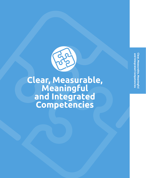Clear, Measurable, Meaningful **Clear, Measurable, Meaningful** and Integrated Competencies **and Integrated Competencies**



**Clear, Measurable, Meaningful and Integrated Competencies**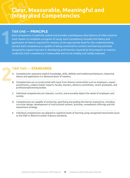## **Clear, Measurable, Meaningful and Integrated Competencies**

### TIER ONE — **PRINCIPLE**

**1**

Each competency is explicitly stated and provides unambiguous descriptions of what a learner must master to complete a program of study. Each competency includes the theory and application of theory required for mastery at the appropriate level for the credential being earned. Each competency is capable of being connected to content and learning activities designed to support learners in developing proficiencies required by the program to award a credential. Each competency is measurable and can be reliably and validly assessed.

- A. Competencies represent explicit knowledge, skills, abilities and intellectual behaviors, balancing theory and application in a demonstration of mastery.
- B. Competencies are co-constructed with input from diverse communities such as employers, expert practitioners, subject-matter experts, faculty, learners, advisory committees, recent graduates, and professional/licensing bodies.
- C. Individual competencies are relevant, current, and accurately depict the needs of employers and society.
- D. Competencies are capable of anchoring, specifying and guiding the learner experience, including curricular design, development of instructional content, activities, remediation offerings and the assessment strategy.
- E. Individual competencies are aligned to cognitive levels of learning using recognized taxonomies (such as the DQP or Bloom's) and/or industry standards.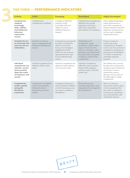**3**

| <b>Criteria</b>                                                                                                                         | <b>Initial</b>                                                                                                          | <b>Emerging</b>                                                                                                                                                                                                                           | <b>Developed</b>                                                                                                                                                                                                                                            | <b>Highly Developed</b>                                                                                                                                                                                                                     |
|-----------------------------------------------------------------------------------------------------------------------------------------|-------------------------------------------------------------------------------------------------------------------------|-------------------------------------------------------------------------------------------------------------------------------------------------------------------------------------------------------------------------------------------|-------------------------------------------------------------------------------------------------------------------------------------------------------------------------------------------------------------------------------------------------------------|---------------------------------------------------------------------------------------------------------------------------------------------------------------------------------------------------------------------------------------------|
| <b>Competencies</b><br>integrate<br>knowledge,<br>skills, abilities<br>and intellectual<br><b>behaviors</b><br>required for<br>success. | Credential level<br>competencies are defined                                                                            | Competency definitions<br>explicitly include<br>knowledge, skills and<br>abilities as well as<br>intellectual behaviors<br>required.                                                                                                      | Credential level competencies<br>definitions also include<br>application and clearly<br>state what is required for<br>demonstration of competency.                                                                                                          | Data is gathered regarding<br>student performance on<br>each of the competencies.<br>External validation data (from<br>employers, licensing exams,<br>etc) are used to strengthen<br>student performance.                                   |
| <b>Competencies are</b><br>co-constructed with<br>input from diverse<br>stakeholders.                                                   | Input from an advisory<br>group is integrated into the<br>competency development<br>process.                            | Competencies are reviewed<br>by experts in the field for<br>relevance and clarity.<br>Tools such as the Degree<br>Qualifications Profile<br>(DQP) are used to ensure<br>appropriate level of rigor<br>for the credential being<br>earned. | Stakeholders (such<br>as employers, expert<br>practitioners, subject-matter<br>experts, faculty, learners,<br>advisory committees, recent<br>graduates, and professional/<br>licensing bodies) participate<br>in defining credential level<br>competencies. | Process is in place to<br>continuously review<br>competencies as discipline<br>evolves over time, revisions to<br>competencies. Employers of<br>graduates provide feedback<br>on whether competencies<br>yield better prepared<br>graduate. |
| <b>Individual</b><br>competencies are<br>relevant, current,<br>and accurately<br>depict the needs<br>of employers and<br>society.       | Individual competencies are<br>defined to reflect current<br>needs.                                                     | Individual competencies are<br>aligned to stated employer<br>and community needs.                                                                                                                                                         | Individual competencies<br>reflect the current assessed<br>needs of both employers<br>and the society in which the<br>student lives.                                                                                                                        | The institution has a process<br>through which it assesses the<br>changing needs of employers<br>and society in order to<br>maintain the currency,<br>relevancy and accuracy of<br>the CBE program's stated<br>competencies.                |
| <b>Competencies</b><br>anchor, specify<br>and guide<br>the learner<br>experience.                                                       | Competencies are defined<br>clearly and specifically,<br>offering the base for<br>the learning journey for<br>students. | Competency framework is<br>well articulated and defined<br>so that the learning journey<br>can support competency<br>development.                                                                                                         | The learning journey,<br>including assessment, is well<br>integrated with and aligned to<br>the competencies.                                                                                                                                               | There is a continuous<br>improvement model in place<br>so that competencies that<br>are unclear or ambiguous<br>are improved, supporting a<br>more clear pathway to the<br>credential for learners.                                         |

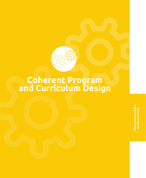

# **Coherent Program and Curriculum Design**

Coherent Progran<br>and Curriculum Des **and Curriculum DesignCoherent Program**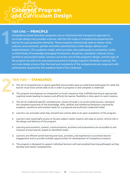# **Coherent Program and Curriculum Design**

### TIER ONE — **PRINCIPLE**

**1**

Competency-based education programs use an intentional and transparent approach to curricular design that provides a learner with the full range of competencies preparing the learner for post-graduation demands. These programs intentionally seek to reduce racial, cultural, socio-economic, gender and other potential bias in their design, delivery and implementation. This academic model, which provides clear pathway(s) to completion, builds a unified body of knowledge leveraging frameworks, disciplines, standards, national norms, workforce and societal needs. Learners are at the core of the program's design, and the logic of the program (as well as its associated assessment strategy) supports flexibility in pacing. The curricular design ensures that the level and complexity of the competencies are congruent with achievement required for the academic level of the credential.

- A. The set of competencies is clearly specified and provides easy-to-understand pathway(s) for what the learner must know and be able to do in order to progress in and complete a credential.
- B. The program encompasses an integrated curricular sequence that scaffolds learning at appropriate cognitive levels leading to mastery and affords the learner flexibility in time spent to reach mastery.
- C. The set of credential-specific competencies, chosen through a co-constructed process, represent the complete taxonomy of the knowledge, skills, abilities and intellectual behaviors required by academic, workforce and societal needs for a prepared and proficient credential holder.
- D. Learners can articulate what they should know and be able to do upon completion of the program.
- E. Learners have meaningful access to faculty subject matter experts who play an active, central role in the design and delivery of the program.
- F. Learning environments, content, communications, activities and assessments are accessible to and inclusive of each learner, based on identified needs.
- G. Learners are offered varied learning exercises, activities, and experiences to promote learner engagement and to provide multiple opportunities for development of competency mastery.
- 
- H. The program is designed to support individual learners with personalized learning pathway(s) as they develop and master competencies.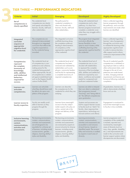| <b>Criteria</b>                                                                                                                                                        | <b>Initial</b>                                                                                                                                                                                                                                                                            | <b>Emerging</b>                                                                                                                                                                                                                                                         | <b>Developed</b>                                                                                                                                                                                                                                                                                                   | <b>Highly Developed</b>                                                                                                                                                                                                                                                                                           |
|------------------------------------------------------------------------------------------------------------------------------------------------------------------------|-------------------------------------------------------------------------------------------------------------------------------------------------------------------------------------------------------------------------------------------------------------------------------------------|-------------------------------------------------------------------------------------------------------------------------------------------------------------------------------------------------------------------------------------------------------------------------|--------------------------------------------------------------------------------------------------------------------------------------------------------------------------------------------------------------------------------------------------------------------------------------------------------------------|-------------------------------------------------------------------------------------------------------------------------------------------------------------------------------------------------------------------------------------------------------------------------------------------------------------------|
| Set of<br>competencies is<br>clearly specified.                                                                                                                        | The credential-level<br>competencies are clearly<br>and openly articulated for<br>learners, faculty, staff and<br>other stakeholders.                                                                                                                                                     | The pathway(s) for<br>credential completion is<br>clear and shared with<br>learners, faculty, staff and<br>other stakeholders.                                                                                                                                          | Along with credential-level<br>competencies and a clear<br>pathway, it is clear how<br>learners progress toward and<br>complete a credential, even<br>when they may struggle with a<br>component.                                                                                                                  | Data is collected regarding<br>learner progression through<br>the pathways, and curricular<br>improvements are made when<br>barriers are identified.                                                                                                                                                              |
| Integrated<br>curricular<br>sequence at<br>appropriate<br>cognitive level<br>for credential.                                                                           | The competencies are<br>attained & demonstrated<br>throughout an integrated<br>curriculum that reflects the<br>cognitive expectations<br>for the credential being<br>awarded.                                                                                                             | The integrated curriculum<br>scaffolds learning along<br>the completion pathway<br>leading to demonstration<br>of competency at the<br>appropriate cognitive level<br>of the credential.                                                                                | The program level integrated<br>curriculum affords the<br>learner flexibility in time<br>spent to reach mastery while<br>scaffolding learning at the<br>appropriate cognitive level for<br>the credential.                                                                                                         | Data is collected regarding<br>learners' rate of progression<br>through the curriculum and<br>to validate the learning at the<br>appropriate cognitive level<br>in order to remove barriers,<br>offer support and to inform-<br>continuous improvement of the<br>curriculum.                                      |
| <b>Competencies</b><br>represent<br>the complete<br>taxonomy of<br>knowledge,<br>skills, abilities<br>and intellectual<br><b>behaviors</b><br>required for<br>success. | The credential-level set<br>of competencies is com-<br>prehensive and cohesive,<br>making sense for the<br>credential being granted.<br>When appropriate, the set<br>of competencies is validat-<br>ed against established tools<br>such as the Degree Qualifi-<br>cations Profile (DQP). | The credential-level set of<br>competencies has been<br>reviewed and validated by<br>stakeholders such as em-<br>ployers, community leaders<br>and faculty for representing<br>a complete taxonomy of<br>required competencies.                                         | The credential-level set of<br>competencies are co-con-<br>structed with stakeholders<br>to represent the complete<br>taxonomy of the knowledge,<br>skills, abilities and intellectual<br>behaviors required by aca-<br>demic, workforce and societal<br>needs for a prepared and<br>proficient credential holder. | The set of credential-specific<br>competencies is validated us-<br>ing employer data as well as<br>other achievement data, and<br>changes to this set of com-<br>petencies are made based<br>on data, changing external<br>requirements and learner per-<br>formance following credential<br>completion.          |
| Learners can<br>articulate<br>competencies.                                                                                                                            | Learners can articulate<br>what they should know and<br>be able to do upon com-<br>pletion of the program.                                                                                                                                                                                | Learners can describe<br>the competencies for the<br>credential for which they are<br>studying.                                                                                                                                                                         | Learners are able to interpret<br>their own data to understand<br>their progression toward<br>"knowing" and "being able to<br>do" the defined competencies<br>upon graduation.                                                                                                                                     | At graduation, learners are<br>able to demonstrate what they<br>know and can do.                                                                                                                                                                                                                                  |
| Learner access to<br>faculty expertise.                                                                                                                                | Faculty are readily avail-<br>able to learners as they<br>progress through the<br>program.                                                                                                                                                                                                | Learners have meaningful<br>access to faculty subject<br>matter experts who play an<br>active, central role in the<br>design and delivery of the<br>program.                                                                                                            | Systems and processes are<br>built to support learner access<br>to faculty (such as "alerts" for<br>faculty, clear response time<br>expectations, technology-en-<br>hanced solutions and others).                                                                                                                  | Engagement is monitored to<br>ensure that meaningful access<br>to faculty is truly available.                                                                                                                                                                                                                     |
| Inclusive learning<br>environments,<br>content,<br>communications,<br>activities and<br>assessments.                                                                   | The learning environments,<br>content, communications,<br>activities and assessments<br>are all designed to be<br>equitable for a diverse set<br>of learners, including racial,<br>socioeconomic, gender,<br>religious, learning ability/<br>styles and disability.                       | The learning environments,<br>content, communications,<br>activities and assessments<br>are reviewed by experts to<br>ensure inclusivity for diverse<br>learners, including racial,<br>socioeconomic, gender,<br>religious, learning ability/<br>styles and disability. | Learning environments,<br>content, communications,<br>activities and assessments are<br>accessible to and inclusive<br>of each learner, based on<br>identified needs. The accessi-<br>bility and inclusivity is audited<br>by experts in each area of<br>diversity.                                                | Learner progression and<br>completion of the credentials<br>is tracked, reported and<br>monitored by meaningful<br>areas of diversity (such as<br>race, class, gender, disability,<br>etc.), and improvements are<br>made to the curriculum and<br>learner support systems where<br>discrepancies are discovered. |

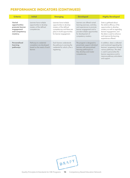### **PERFORMANCE INDICATORS (CONTINUED)**

| <b>Criteria</b>                                                                        | <b>Initial</b>                                                                                | <b>Emerging</b>                                                                                                                                                       | <b>Developed</b>                                                                                                                                                                                         | <b>Highly Developed</b>                                                                                                                                                                                                                  |
|----------------------------------------------------------------------------------------|-----------------------------------------------------------------------------------------------|-----------------------------------------------------------------------------------------------------------------------------------------------------------------------|----------------------------------------------------------------------------------------------------------------------------------------------------------------------------------------------------------|------------------------------------------------------------------------------------------------------------------------------------------------------------------------------------------------------------------------------------------|
| Varied<br>opportunities<br>promote learner<br>engagement<br>and competency<br>mastery. | Learners have multiple<br>opportunities to develop<br>mastery of the defined<br>competencies. | Learners have multiple<br>opportunities to develop<br>mastery of the defined<br>competencies and there are<br>plans to build opportunities<br>for learner engagement. | Learners are offered varied<br>learning exercises, activities,<br>and experiences to promote<br>learner engagement and to<br>provide multiple opportunities<br>for development of<br>competency mastery. | Data is gathered about<br>the relative efficacy of the<br>opportunities to develop<br>mastery as well as regarding<br>learner engagement, and<br>the data is used to enhance<br>and improve the learning<br>experiences offered.         |
| Personalized<br>learning<br>pathways                                                   | Pathways to credential<br>completion are developed<br>based on the needs of each<br>learner.  | Each learner understands<br>the pathway to earning the<br>credential for which s/he is<br>registering.                                                                | The program is designed to<br>proactively support individual<br>learners with personalized<br>learning pathway(s) as<br>they develop and master<br>competencies.                                         | In addition, data is collected<br>and monitored regarding the<br>learners' progression through<br>various pathways. This data<br>is used to personalize the<br>learner experience and to<br>improve pathway articulation<br>and support. |

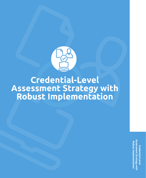

# **Credential-Level Assessment Strategy with Robust Implementation**

**Assessment Strategy with Assessment Strategy with Robust Implementation Robust Implementation**Credential-Level **Credential-Level**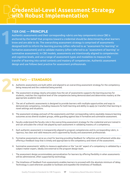### TIER ONE — **PRINCIPLE**

**1**

Authentic assessments and their corresponding rubrics are key components since CBE is anchored by the belief that progress toward a credential should be determined by what learners know and are able to do. The overarching assessment strategy is comprised of assessments designed both to inform the learning journey (often referred to as "assessment for learning" or formative assessment) and to validate mastery (often referred to as "assessment of learning" or summative assessment). In CBE models, assessments are intentionally aligned to competencies and cognitive levels, and use a range of assessment types and modalities to measure the transfer of learning into varied contexts and mastery of competencies. Authentic assessment design and use follows best practice for assessment professionals.

- A. Authentic assessments are built within and aligned to an overarching assessment strategy for the competency being measured and the credential being earned.
- B. The assessment strategy clearly articulates how the set of assessments supports the learning journey for students, matches the cognitive level of the competencies being demonstrated and determines mastery at the appropriate academic level.
- C. The set of authentic assessments is designed to provide learners with multiple opportunities and ways to demonstrate competency, including measures for both learning and ability to apply (or transfer) that learning in novel settings and situations.
- D. The assessment strategy and each of the assessments and their corresponding rubrics equitably measure learning outcomes across diverse student groups, while guarding against bias in formative and summative assessment.
- E. Faculty understand the faculty role in the overarching assessment strategy for the credential and are trained in and can articulate the critical role played by each assessment in validating mastery of a competency.
- F. Each authentic assessment is transparently aligned to program competencies and its corresponding rubric, is rigorous, has clear and valid measures and is approved by faculty and assessment professionals
- G. Formative assessments serve as a tool for learning providing feedback for reflection and refinement while also offering a feedback loop that is timely and appropriate to the competency and intent of the assessment.
- H. Summative assessments' ability to measure application or the "can do" aspect of a competency is validated by a subject matter expert, ideally one external to the program design team.
- I. The assessment design accommodates personalization for learners by offering flexibility in when assessments will be administered, often supported by technology.
- J. The timeliness of feedback from assessments enables learners to proceed with the absolute minimum of delay. Technology is used wherever possible to facilitate and expedite the timeliness of feedback.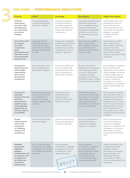| <b>Criteria</b>                                                                                                                                                                 | <b>Initial</b>                                                                                                                                        | <b>Emerging</b>                                                                                                                                                           | <b>Developed</b>                                                                                                                                                                                                                                   | <b>Highly Developed</b>                                                                                                                                                                                                                                                                                                             |
|---------------------------------------------------------------------------------------------------------------------------------------------------------------------------------|-------------------------------------------------------------------------------------------------------------------------------------------------------|---------------------------------------------------------------------------------------------------------------------------------------------------------------------------|----------------------------------------------------------------------------------------------------------------------------------------------------------------------------------------------------------------------------------------------------|-------------------------------------------------------------------------------------------------------------------------------------------------------------------------------------------------------------------------------------------------------------------------------------------------------------------------------------|
| <b>Authentic</b><br>assessments<br>are built within<br>and aligned to<br>an overarching<br>assessment<br>strategy.                                                              | An assessment strategy<br>is clearly articulated and<br>authenticity is defined.                                                                      | Assessments (designed<br>to measure both theory<br>and ability to apply the<br>theory) are authentic and<br>transparently aligned to<br>competencies.                     | Assessments are performance<br>based when appropriate<br>for the competencies being<br>assessed, and aligned to<br>requirements in the discipline<br>& profession as well as to<br>the overarching assessment<br>strategy.                         | External SMEs review each<br>assessment for relevance<br>& clarity. These reviews<br>inform improvements in the<br>assessments. The assessment<br>strategy is transparent<br>to students and other<br>constituents.                                                                                                                 |
| <b>Assessments match</b><br>the cognitive<br>level of the<br>competencies<br>being<br>demonstrated and<br>determine mastery<br>at the appropriate<br>academic level.            | Assessments offer all<br>students the opportunity<br>to demonstrate mastery<br>required for the credential<br>being granted (certificate,<br>AA, MS). | Assessments are designed<br>to reflect the cognitive level<br>of the competency (e.g.:<br>multiple choice exams for<br>"remembering" and case<br>studies for "applying"). | Assessments have validity<br>data to support claims<br>about cognitive level being<br>measured. Performance<br>data is examined for equity<br>concerns as well.                                                                                    | Assessments have validity<br>data to support claims<br>about cognitive level being<br>measured. These data<br>include equity across diverse<br>groups and are used for<br>continuous improvement of the<br>assessments.                                                                                                             |
| <b>Assessments</b><br>provide learners<br>with multiple<br>opportunities<br>and ways to<br>demonstrate<br>competency.                                                           | Learners are given more<br>than one opportunity to<br>demonstrate competency.                                                                         | Learners are offered more<br>than one modality (type<br>of assessment) and more<br>than one opportunity to<br>demonstrate competency.                                     | The set of assessments is<br>designed to provide learners<br>with multiple opportunities<br>and ways to demonstrate<br>competency, including<br>measures for both learning<br>and ability to apply or transfer<br>that learning in novel contexts. | Each competency is assessed<br>through a diverse set of<br>opportunities, each of which is<br>valid and reliable, and the set<br>of which includes measures<br>for both learning and ability<br>to apply or transfer that<br>learning in novel contexts.<br>Assessments are personalized<br>based on student profile and<br>needs.  |
| <b>Assessments</b><br>equitably<br>measure learning<br>outcomes<br>across diverse<br>student groups,<br>while guarding<br>agginst bigs of<br>structure and/or<br>accessibility. | Assessments are reviewed<br>by experts in diversity for<br>any embedded cultur-<br>al biases or language.<br>Delivery methods are ADA<br>compliant.   | The institution has an<br>established position<br>regarding equity in<br>assessment & faculty are<br>trained in bias issues.                                              | Baseline data regarding<br>assessment bias (particularly<br>bias against race, economic<br>status, gender and ability),<br>assessment performance<br>and validation of rubrics and<br>assessors is established.                                    | Data is gathered, analyzed<br>and reviewed for equity in a<br>transparent process. Data is<br>analyzed to reveal gaps in<br>learning outcomes as well as<br>bias in the assessment tool or<br>grading practices. Analyses<br>result in improvements in<br>learning pathways as well as<br>assessment tools/approaches<br>as needed. |
| Faculty<br>understand the<br>role of each<br>assessment<br>in validating<br>mastery of a<br>competency.                                                                         | Faculty can articulate the<br>assessment strategy.                                                                                                    | Faculty can articulate how<br>each assessment aligns to<br>competency definitions.                                                                                        | Faculty can articulate how<br>each assessment plays a<br>critical role in validating<br>mastery of a competency.                                                                                                                                   | Faculty can articulate how<br>each assessment plays a<br>critical role in validating<br>mastery of a competency and<br>participates in a continuous<br>improvement process for<br>assessments with which they<br>work.                                                                                                              |
| <b>Authentic</b><br>assessments<br>aligned to<br>program<br>competencies and<br>are rigorous, and<br>are approved<br>by faculty and<br>assessment<br>professionals              | The curricular map aligns<br>each assessment to related<br>competencies. The institution<br>has a definition of authentic<br>assessment.              | Each assessment is<br>monitored for its alignment<br>to competencies, its level<br>of "authenticity" and is<br>approved by faculty.<br>DRAFT                              | Each assessment is<br>monitored for its alignment<br>to competencies and its<br>level of authenticity. Validity<br>and reliability data are<br>transparently reported<br>and reviewed by faculty/<br>assessment professionals.                     | Validity and reliability data<br>is gathered & analyzed<br>regarding validity of<br>assessments across diverse<br>groups of students - this<br>data (along with other<br>relevant data) is used for<br>continuous improvement of the<br>assessments.                                                                                |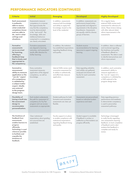### **PERFORMANCE INDICATORS (CONTINUED)**

| <b>Criteria</b>                                                                                                                                                                                                         | <b>Initial</b>                                                                                                                                                                                                                                                    | <b>Emerging</b>                                                                                                                        | <b>Developed</b>                                                                                                                                                                                              | <b>Highly Developed</b>                                                                                                                                                                                            |
|-------------------------------------------------------------------------------------------------------------------------------------------------------------------------------------------------------------------------|-------------------------------------------------------------------------------------------------------------------------------------------------------------------------------------------------------------------------------------------------------------------|----------------------------------------------------------------------------------------------------------------------------------------|---------------------------------------------------------------------------------------------------------------------------------------------------------------------------------------------------------------|--------------------------------------------------------------------------------------------------------------------------------------------------------------------------------------------------------------------|
| <b>Each assessment</b><br>is authentic,<br>able to assess<br>what credential<br>completers know<br>and are able to<br>do, and in what<br>settings and<br>situations.                                                    | Assessments measure<br>competency in a manner<br>that approximates the<br>way that the competency<br>must be demonstrated<br>in the "real world". The<br>knowledge, skills and<br>intellectual behaviors<br>comprised in a competency<br>are clearly articulated. | In addition, assessments<br>measure both knowledge<br>and ability to apply that<br>knowledge, based on the<br>level of the credential. | In addition, assessments are<br>performance based (when<br>appropriate) and aligned to<br>requirements in the discipline<br>& profession. Assessments<br>are equally valid for diverse<br>groups of learners. | On a regular basis,<br>external SMEs review each<br>assessment for relevance &<br>clarity. These reviews (along<br>with other relevant data)<br>inform improvements in the<br>assessments.                         |
| <b>Formative</b><br>assessments<br>serve as a tool<br>for learning,<br>offering a<br>feedback loop<br>that is timely and<br>appropriate to<br>the competency.                                                           | Formative assessments<br>are aligned to learning<br>outcomes, and assessment<br>results offer direction for<br>further learning.                                                                                                                                  | In addition, the institution<br>has established expectations<br>regarding feedback timing<br>and quality.                              | Students receive<br>recommendations for learning<br>resources to support ongoing<br>learning.                                                                                                                 | In addition, data is collected<br>and monitored regarding<br>the timeliness and quality<br>of feedback offered on<br>assessments. This data is used<br>to identify best practices and<br>inform improvement.       |
| Summative<br>assessments'<br>ability to measure<br>application or the<br>"can do" aspect<br>of a competency<br>is validated by<br>a subject matter<br>expert, ideally<br>one external<br>to the program<br>design team. | Every summative<br>assessment measures<br>application of the aligned<br>competency, as well as<br>knowledge.                                                                                                                                                      | Internal SMEs review each<br>summative assessment for<br>its ability to authentically<br>and effectively measure<br>application.       | Data regarding reliability<br>and validity are gathered,<br>analyzed and shared with<br>faculty for each summative<br>assessment.                                                                             | In addition, each summative<br>assessment's ability to<br>measure application or<br>the "can do" aspect of a<br>competency is validated by<br>a SME external to the<br>program design team.                        |
| <b>Flexibility of</b><br>timing is built into<br>the assessment<br>design to<br>accommodate<br>personalization.                                                                                                         | Each student understands<br>the path for assessment of<br>competency for his/her<br>program and can access<br>assessments as appropriate.                                                                                                                         | Student pathways for both<br>formative and summative<br>assessments are clear yet<br>flexible.                                         | Assessments are personalized,<br>based on individual student<br>experience and need.                                                                                                                          | Data regarding previous<br>performance and readiness<br>to demonstrate competency<br>is used to personalize<br>assessment pathways.                                                                                |
| The timeliness of<br>feedback from<br>assessments<br>enables learners to<br>progress<br>efficiently.<br>Technology is used<br>wherever possible<br>to facilitate and<br>expedite the<br>timeliness of<br>feedback.      | Clear institutional<br>expectations about grading<br>turn-around time are<br>established.                                                                                                                                                                         | Faculty support is in place<br>to enable compliance with<br>institutional expectations<br>regarding feedback timing<br>and quality.    | Student support is available<br>if feedback is unclear or<br>ineffective so that students can<br>progress efficiently.                                                                                        | Technology is leveraged<br>to notify faculty regarding<br>new assessments requiring<br>feedback, to track completion<br>of feedback and to alert<br>students that feedback is<br>complete and ready for<br>review. |

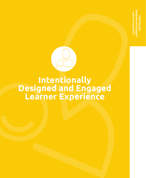**Designed and Engaged Learner Experience**rner Experien **Intentionally** 



# **Intentionally Designed and Engaged Learner Experience**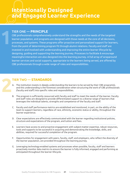### TIER ONE — **PRINCIPLE**

**1**

CBE professionals comprehensively understand the strengths and the needs of the targeted learner population, and programs are designed with those needs at the core of all decisions, processes, and systems. These programs offer proactive and personalized support for learners, from the point of determining program fit through alumni relations. Faculty and staff are invested in and involved with understanding and improving the entire learner lifecycle by designing, guiding and supporting the learning journey. Processes to facilitate & encourage meaningful interaction are also designed into the learning journey. A full array of wraparound learner services and social supports, appropriate to the learners being served, are offered by CBE professionals through a wide range of roles and responsibilities.

- A. The institution invests in deeply understanding the learners to be served by their CBE program(s), and this understanding is the foremost consideration when structuring the work of CBE professionals (faculty and staff) into specific roles and responsibilities.
- 
- B. The program is sufficiently resourced with faculty and staff to meet the needs of the learner. Faculty and staff roles are designed to provide differentiated support to a diverse range of learners that leverages the individual talents, strengths and competence of the faculty and staff.

- C. Faculty and staff performance metrics are established and monitored, in part, on the ability of the team to support learners, regardless of race, ethnicity, economic status or ability, throughout the learner experience.
- D. Clear expectations are effectively communicated with the learner regarding institutional policies, structure and expectations of the program, and tuition and fees.
- E. Learners have access to and proactive engagement with subject-matter expertise, robust resources, tools and supports to be successful in acquiring and demonstrating the knowledge, skills, and abilities, required for successful completion of the program.
- F. Opportunities for engagement with peers, faculty, staff, and employers, who reflect the diversity of the learner population, are provided throughout the learning journey.
- G. Leveraging technology-enabled systems and processes when possible, faculty, staff and learners proactively monitor data metrics to ensure the learner is fully informed, engaged and performing as anticipated throughout the learner lifecycle.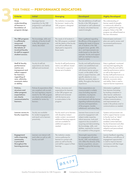| <b>Criteria</b>                                                                                                                                                                       | <b>Initial</b>                                                                                                                                                                                   | <b>Emerging</b>                                                                                                                                                                    | <b>Developed</b>                                                                                                                                                                                                                                                                                               | <b>Highly Developed</b>                                                                                                                                                                                                                                                                                               |
|---------------------------------------------------------------------------------------------------------------------------------------------------------------------------------------|--------------------------------------------------------------------------------------------------------------------------------------------------------------------------------------------------|------------------------------------------------------------------------------------------------------------------------------------------------------------------------------------|----------------------------------------------------------------------------------------------------------------------------------------------------------------------------------------------------------------------------------------------------------------------------------------------------------------|-----------------------------------------------------------------------------------------------------------------------------------------------------------------------------------------------------------------------------------------------------------------------------------------------------------------------|
| Deep<br>understanding<br>of learners is<br>foundation of<br>program design.                                                                                                           | The target learner<br>population for the CBE<br>program(s) is well defined<br>and described.                                                                                                     | The institution incorporates<br>the learners' needs as the<br>CBE program is designed<br>and delivered.                                                                            | The role definitions of staff and<br>faculty in the CBE program<br>are based on well understood<br>& clearly articulated learner<br>needs & strengths.                                                                                                                                                         | The understanding of<br>learner needs & strengths<br>is continuously refined as<br>data is gathered through the<br>program. Roles in the CBE<br>program are refined based on<br>this new information.                                                                                                                 |
| The CBE program<br>is sufficiently<br>resourced<br>and leverages<br>the talents of<br>involved faculty<br>& staff to support<br>student success.                                      | The knowledge, skills and<br>attitudes of faculty & staff<br>in the CBE program are<br>clearly described.                                                                                        | The needs of all students in<br>the CBE program correlated<br>with the talents of the faculty<br>and staff are effectively<br>deployed to respond to<br>those needs.               | Data is gathered regarding<br>the efficacy of the program in<br>meeting the needs of diverse<br>sets of students in the CBE<br>program (race, gender, SES,<br>etc.), and improvements are<br>made based on the data (for<br>example, faculty and support<br>staff are matched to learners<br>based on data).   | External peers and exem-<br>plars are used to review and<br>recommend performance<br>improvements.                                                                                                                                                                                                                    |
| <b>Staff &amp; Faculty</b><br>performance<br>metrics are<br>transparent and<br>reflect support<br>for learners,<br>regarding of<br>race, ethnicity,<br>economic status<br>or ability. | Faculty & staff job<br>expectations are clearly<br>defined and monitored.                                                                                                                        | Faculty & staff performance<br>metrics are defined, based<br>on the need to support a<br>diverse set of students.                                                                  | Faculty and staff performance<br>metrics are established and<br>monitored in partnership<br>with diverse learner groups,<br>in part, on the ability of the<br>team to support learners, with<br>specific attention to race,<br>ethnicity, economic status or<br>ability, throughout the learner<br>experience. | Data is gathered, monitored<br>and reported regarding the<br>ability of faculty and staff to<br>meet the performance metrics<br>as well as the impact of<br>faculty/staff performance on<br>learner success across race,<br>ethnicity, economic status<br>and ability. Data is used to<br>improve learner experience. |
| Policies,<br>structure and<br>other program<br>expectations<br>are clearly<br>communicated to<br>learners.                                                                            | Policies & expectations (that<br>are compliant with accred-<br>itor and regulatory require-<br>ments) for the CBE program<br>are clearly articulated and<br>available for review by<br>learners. | Policies, structures and<br>expectations for learners<br>in the CBE program are<br>defined and reviewed<br>with the learner prior<br>to matriculation in the<br>program.           | Clear expectations are<br>communicated in multiple<br>ways (including required<br>orientation, touchpoints<br>each term and advisor<br>conversations) with the learner<br>regarding institutional policies,<br>structure and expectations<br>of the program, transfer,<br>withdrawal, and tuition/fees.        | Information is gathered<br>from learners (including<br>by tracking complaints or<br>other learner satisfaction<br>input) regarding the clarity<br>of these communications,<br>and improvements are<br>made in the policies and/or<br>communications as needed.                                                        |
| Learner access to<br>faculty expertise.                                                                                                                                               | Faculty are available<br>for student engagement,<br>and reach out to learners<br>proactively.                                                                                                    | Faculty reach out to learners<br>with discipline/subject<br>matter content, recommend<br>additional learning supports<br>and are available for<br>additional support as<br>needed. | Learners have access to and<br>proactive engagement with<br>subject-matter expertise,<br>robust resources, tools and<br>supports to be successful in<br>acquiring and demonstrating<br>the knowledge, skills, and<br>abilities, required for success-<br>ful completion of the program.                        | Systems and processes are<br>built to support learner access<br>to faculty (such as "alerts"<br>for faculty, technology<br>enabled contact between<br>faculty & learners) and other<br>learning resources, such as<br>adaptive and personalized<br>technologies.                                                      |
| <b>Engagement</b><br>with a learning<br>community<br>is provided<br>throughout the<br>learning journey.                                                                               | Learners can interact with<br>each other as well as with<br>faculty and staff.                                                                                                                   | The institution creates<br>various pathways for<br>learners to connect with<br>peers as well as faculty<br>and staff for support of their<br>learning.                             | Meaningful opportunities<br>for engagement with peers,<br>faculty, staff, and employers,<br>who reflect the diversity of the<br>learner population, are pro-<br>vided throughout the learning<br>journey.                                                                                                      | Learner feedback regarding<br>the efficiency and efficacy of<br>engagement opportunities<br>is used to improve learner<br>connections with their larger<br>learning community.                                                                                                                                        |

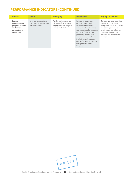### **PERFORMANCE INDICATORS (CONTINUED)**

| <b>Criteria</b>                                                                           | <b>Initial</b>                                                             | <b>Emerging</b>                                                                                              | <b>Developed</b>                                                                                                                                                                                                                                                                                                                           | <b>Highly Developed</b>                                                                                                                                                                                                    |
|-------------------------------------------------------------------------------------------|----------------------------------------------------------------------------|--------------------------------------------------------------------------------------------------------------|--------------------------------------------------------------------------------------------------------------------------------------------------------------------------------------------------------------------------------------------------------------------------------------------------------------------------------------------|----------------------------------------------------------------------------------------------------------------------------------------------------------------------------------------------------------------------------|
| Learners'<br>engagement &<br>progress toward<br>credential<br>completion is<br>monitored. | Learners' progress toward<br>competency demonstration<br>can be monitored. | Faculty, staff & learners are<br>all aware of the learner's<br>engagement and progress<br>toward credential. | Leveraging technology-<br>enabled systems (such<br>as customer relationship<br>management - CRM- tools)<br>and processes when possible,<br>faculty, staff and learners<br>proactively monitor data<br>metrics to ensure the learner<br>is fully informed, engaged<br>and performing as anticipated<br>throughout the learner<br>lifecycle. | The data gathered regarding<br>learner progression and<br>completion is used to 1) refine<br>the learning experience;<br>and 2) reach out to learners<br>to support their ongoing<br>progress in a personalized<br>manner. |

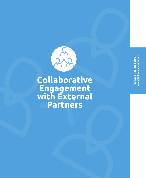Collaborative Engagement **Collaborative Engagement**  with External Partners **with External Partners**



# **Collaborative Engagement with External Partners**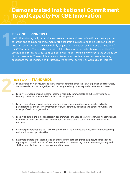### TIER ONE — **PRINCIPLE**

Institutions strategically determine and secure the commitment of multiple external partners to inform and to support achievement of the program's purpose and the institution's equity goals. External partners are meaningfully engaged in the design, delivery, and evaluation of the CBE program. These partners work collaboratively with the institution offering the CBE program to inform and validate its competencies, its curriculum and to ensure the authenticity of its assessments. The result is a relevant, transparent credential and authentic learning experience that is endorsed and trusted by the external partners as well as by its learners. **1**

- 1. In collaboration with faculty and staff, external partners offer their own expertise and resources, are invested in and an integral part of the program design, delivery and evaluation processes.
- 2. Faculty, staff, learners and external partners regularly communicate on substantive matters, keeping each other informed of the latest developments.
- 3. Faculty, staff, learners and external partners share their experiences and insights actively participating in, and sharing information with, researchers, discipline and career networks, and other professional organizations.
- 4. Faculty and staff implement necessary programmatic changes to stay current with industry trends, often based on information learned through their substantive communication with external partners.
- 5. External partnerships are cultivated to provide real life learning, training, assessment, internship and employment opportunities.
- 6. External partners are chosen based on their alignment to program's purpose, the institution's equity goals, or field and workforce needs. When no pre-existing connections exist, faculty and staff are able to form these necessary relationships.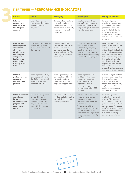| <b>Criteria</b>                                                                                                                                                               | <b>Initial</b>                                                                                                                                                                | <b>Emerging</b>                                                                                                                                                                  | <b>Developed</b>                                                                                                                                                                                                                                                                                                                   | <b>Highly Developed</b>                                                                                                                                                                                                                                                                                                                                                                            |
|-------------------------------------------------------------------------------------------------------------------------------------------------------------------------------|-------------------------------------------------------------------------------------------------------------------------------------------------------------------------------|----------------------------------------------------------------------------------------------------------------------------------------------------------------------------------|------------------------------------------------------------------------------------------------------------------------------------------------------------------------------------------------------------------------------------------------------------------------------------------------------------------------------------|----------------------------------------------------------------------------------------------------------------------------------------------------------------------------------------------------------------------------------------------------------------------------------------------------------------------------------------------------------------------------------------------------|
| <b>External</b><br>partners are<br>invested in the<br><b>CBE</b> program's<br>success.                                                                                        | External partners can<br>communicate the rationale<br>for offering the CBE<br>program.                                                                                        | The external partners have<br>reviewed and offered<br>feedback on the program's<br>competencies, assessments,<br>learning activities and<br>requirements.                        | In collaboration with faculty<br>and staff, external partners<br>are an integral part of the<br>program design, delivery and<br>evaluation processes.                                                                                                                                                                              | The external partners<br>provide the institution with<br>data regarding graduates'<br>performance on the job,<br>allowing the institution to<br>continuously improve the<br>competencies, assessments<br>and other components of the<br>program.                                                                                                                                                   |
| <b>External and</b><br>internal partners<br>communicate<br>about new<br>developments<br>and program<br>changes are<br>implemented<br>to maintain<br>currency in the<br>field. | External partners are asked<br>for input on any external<br>changes that could impact<br>the program.                                                                         | Standing and regular<br>meetings are held in which<br>external and internal<br>partners consider the<br>success and efficacy of the<br>CBE program, from each<br>partner's lens. | Faculty, staff, learners and<br>external partners work<br>collaboratively to update,<br>refresh and improve the<br>relevancy of the competencies<br>attained and demonstrated by<br>learners in the CBE program.                                                                                                                   | Data is gathered (from<br>graduates, external partners<br>and other sources) and<br>widely disseminated by both<br>internal and external partners<br>regarding the efficacy of the<br>CBE program in preparing<br>learners for relevant jobs<br>and life skills (including<br>responsiveness to industry<br>trends and other external<br>changes), and improvements<br>are made based on the data. |
| <b>External</b><br>partners provide<br>components<br>of the learning<br>journey.                                                                                              | External partners actively<br>encourage graduates of<br>the CBE program to apply<br>for employment upon<br>credential completion.                                             | External partnerships are<br>cultivated to provide real<br>life learning, training,<br>assessment, internship and<br>employment opportunities.                                   | Formal agreements are<br>established with external<br>partners to provide faculty<br>expertise and onsite<br>experiences (such as<br>internships or apprenticeships)<br>as a component of the CBE<br>program.                                                                                                                      | Information is gathered from<br>external partners regarding<br>learner performance<br>in internships, training<br>opportunities and ultimately<br>employment, and this data is<br>used to improve curriculum<br>and learning journey.                                                                                                                                                              |
| <b>External partners</b><br>are selected<br>based on<br>institutional and<br>programmatic<br>mission and<br>goals.                                                            | Possible external partners<br>are identified based<br>on institution's mission<br>and goals for the CBE<br>program. These may or<br>may not include existing<br>partnerships. | Where new partnerships are<br>required, institutions work to<br>establish shared goals and<br>effective partnerships.                                                            | External partners are chosen<br>based on their alignment<br>to program's purpose, the<br>institution's equity goals, or<br>field and workforce needs.<br>When no pre-existing<br>connections exist, faculty and<br>staff are able to form these<br>necessary relationships so that<br>the partnerships are mutually<br>beneficial. | The external partner<br>relationships are evaluated<br>in terms of the institution's<br>mission and programmatic<br>goals as well as the external<br>partners' goals. Any gaps are<br>identified, new opportunities<br>are articulated and efforts<br>to establish a working<br>partnership are initiated.                                                                                         |

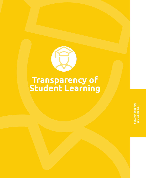

# **Transparency of Student Learning**

**Student LearningTransparency of**  <sup>r</sup>ransparency of<br>tudent Learning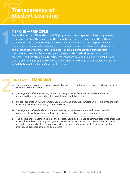# **Transparency of Student Learning**

### TIER ONE — **PRINCIPLE**

**1**

One of the central differentiators of CBE programs is the transparency of learning required to earn a credential. This means that the competencies and their alignment, the pathway to mastering those competencies, the assessment methodologies and the performance requirements for successful demonstration of competency are clearly articulated to learners and all other stakeholders. Transcripting practices make demonstrated competencies transparent to learners, faculty, staff, employers, transfer institutions, accreditors and regulators, and are often in digital form. Transcripts are designed to support portability and transferability to non-CBE environments and include an "extended or comprehensive record" with details about the learner's accomplishments.

- A. The competencies required to earn a credential are clearly and openly articulated to learners, faculty, staff and external partners.
- B. The alignment of competencies, content, learning activities/experiences, and competency demonstration assessments is visible to all learners and stakeholders.
- C. Student progression toward competency mastery and credential completion is visible throughout the learning journey to the learner, faculty and staff.
- D. The alignment of credential's competencies to any external requirements (licenses, transfer requirements, certifications, employer needs) is accurately and clearly communicated.
- E. The institutional transcripting policy and process should be designed to communicate what graduates can do (beyond course listings and grades), expressed in ways understandable and relevant to an expanded community of stakeholders utilizing the input and engagement of learners, transfer institutions, graduate schools and employers.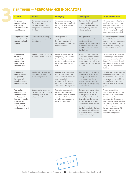| <b>Criteria</b>                                                                                                                                               | <b>Initial</b>                                                                                                         | <b>Emerging</b>                                                                                                                                                                                        | <b>Developed</b>                                                                                                                                                                                                                                                                                                                                                                 | <b>Highly Developed</b>                                                                                                                                                                                                                                                                                                                     |
|---------------------------------------------------------------------------------------------------------------------------------------------------------------|------------------------------------------------------------------------------------------------------------------------|--------------------------------------------------------------------------------------------------------------------------------------------------------------------------------------------------------|----------------------------------------------------------------------------------------------------------------------------------------------------------------------------------------------------------------------------------------------------------------------------------------------------------------------------------------------------------------------------------|---------------------------------------------------------------------------------------------------------------------------------------------------------------------------------------------------------------------------------------------------------------------------------------------------------------------------------------------|
| Required<br>competencies<br>are clearly<br>articulated to all<br>constituents.                                                                                | The competencies required<br>for a credential are<br>defined. "Course" level<br>competencies are shared<br>in syllabi. | The competencies required<br>for a credential are defined<br>and shared with learners,<br>faculty and staff.                                                                                           | The competencies required<br>to earn a credential are<br>transparently articulated to<br>learners, faculty, staff and<br>external partners.                                                                                                                                                                                                                                      | Competencies required for a<br>credential are transparently<br>articulated to learners, staff,<br>faculty, external partners and<br>clearly transcribed for use by<br>other institutions as needed.                                                                                                                                         |
| Alignment of the<br>curriculum and<br>competencies is<br>visible.                                                                                             | Competencies, learning ex-<br>periences and assessments<br>are aligned.                                                | The alignment of<br>competencies, content,<br>learning activities and<br>assessments is captured in a<br>reportable format.                                                                            | The alignment of<br>competencies, content,<br>learning activities/<br>experiences, and competency<br>demonstration assessments<br>is visible to all learners and<br>stakeholders.                                                                                                                                                                                                | Curricular maps are technolo-<br>gy enabled and visualized so<br>that any interested person can<br>understand the alignment of<br>competencies, learning expe-<br>riences and assessments.                                                                                                                                                  |
| Progression<br>toward<br>credential<br>completion<br>is visible to<br>stakeholders.                                                                           | Learner progression can be<br>monitored and reported on.                                                               | Learner engagement and<br>competency demonstration<br>is episodically captured,<br>monitored and reported out<br>for learners and faculty/<br>staff.                                                   | Learner progression toward<br>competency mastery and cre-<br>dential completion is readily<br>visible throughout the learning<br>journey to the learner, faculty<br>and staff.                                                                                                                                                                                                   | Technology (ie: a progression<br>dashboard) is used to enable<br>real time visualization of the<br>learners' progression through<br>the aligned assessments and<br>competencies for all stake-<br>holders.                                                                                                                                  |
| <b>Credential</b><br>competencies'<br>alignment<br>to external<br>requirements is<br>communicated.                                                            | Credential competencies<br>are aligned to appropriate<br>external requirements.                                        | External requirements that<br>map to the credential are<br>well understood, monitored<br>and aligned to the<br>credential so that internal<br>and external stakeholders<br>can describe the alignment. | The alignment of credential's<br>competencies to any exter-<br>nal requirements (licenses,<br>transfer requirements, certifi-<br>cations, employer needs) is<br>accurately and transparently<br>communicated.                                                                                                                                                                    | Visualizations of the alignment<br>of external requirements and<br>the credential's standards are<br>developed and available for<br>sharing (often technology<br>enabled) with all interested<br>parties.                                                                                                                                   |
| <b>Transcripts</b><br>communicate<br>competencies<br>and support<br>learners' needs<br>for transfer,<br>admission to<br>other institutions<br>and employment. | Competencies for the cre-<br>dential available for review<br>upon request or as an<br>attachment to the transcript.    | The institutional transcript<br>reflects the competencies<br>for the credential as well as<br>each learner's demonstra-<br>tion of competency related<br>to the earned credential.                     | The institutional transcripting<br>policy and process should<br>be designed to communi-<br>cate what graduates can do<br>(beyond course listings and<br>grades), expressed in ways<br>understandable and relevant<br>to an expanded community of<br>stakeholders utilizing the input<br>and engagement of learners,<br>transfer institutions, graduate<br>schools and employers. | The transcript utilizes<br>visualization and e-portfolio<br>technology to communicate<br>the richness of the<br>competencies demonstrated<br>in earning the credential while<br>also offering a "cross-walk" to<br>credits and grades, if needed<br>for learner's purposes. This<br>transcript is electronically<br>shareable and portable. |

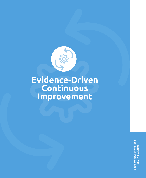

**Evidence-Driven Continuous Improvement**

> **Continuous Improvement Continuous Improvement**Evidence-Driven **Evidence-Driven**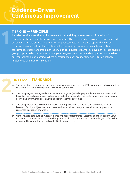# **Evidence-Driven Continuous Improvement**

### TIER ONE — **PRINCIPLE**

**1**

A evidence-driven, continuous improvement methodology is an essential dimension of competency-based education. To ensure program effectiveness, data is collected and analyzed at regular intervals during the program and post-completion. Data are reported and used to inform learners and faculty, identify and prioritize improvements, evaluate and refine assessment strategy and implementation, monitor equitable learner achievement across diverse groups, optimize learner supports to impact program persistence and completion, and enable external validation of learning. Where performance gaps are identified, institution actively implements and monitors solutions.

- A. The institution has adopted continuous improvement processes for CBE program(s) and is committed to sharing data and discoveries with the CBE community.
- B. The CBE program has agreed upon performance goals (including equitable learner outcomes) and has effective and regular approaches for monitoring, measuring, surveying, analyzing, reporting and acting on performance data (including specific learner outcomes).
- C. The CBE program has a systematic process for improvement based on data and feedback from learners, faculty, subject matter experts, and external partners, and has allocated appropriate resources to support the work.
- D. Other related data such as measurements of post-programmatic outcomes and the enduring value of earned competencies in the knowledge marketplace are monitored to inform larger shifts in the design of the competencies and credential being offered.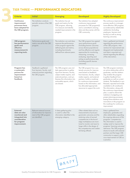|  | <b>Criteria</b>                                                                                                      | <b>Initial</b>                                                                                         | <b>Emerging</b>                                                                                                                                                                                                                      | <b>Developed</b>                                                                                                                                                                                                                                                                                                     | <b>Highly Developed</b>                                                                                                                                                                                                                                                                                                                                                                                                                                                                                                                                             |
|--|----------------------------------------------------------------------------------------------------------------------|--------------------------------------------------------------------------------------------------------|--------------------------------------------------------------------------------------------------------------------------------------------------------------------------------------------------------------------------------------|----------------------------------------------------------------------------------------------------------------------------------------------------------------------------------------------------------------------------------------------------------------------------------------------------------------------|---------------------------------------------------------------------------------------------------------------------------------------------------------------------------------------------------------------------------------------------------------------------------------------------------------------------------------------------------------------------------------------------------------------------------------------------------------------------------------------------------------------------------------------------------------------------|
|  | <b>Continuous</b><br>improvement<br>processes have<br>been adopted for<br>the CBE program.                           | The institution conducts<br>periodic reviews of the CBE<br>program.                                    | The institution has set<br>goals and metrics for the<br>CBE program, allowing<br>it to measure and identify<br>needed improvements in the<br>program.                                                                                | The institution has adopted<br>continuous improvement<br>processes for CBE program(s)<br>and is committed to sharing<br>data and discoveries with the<br>CBE community.                                                                                                                                              | The continuous improvement<br>process results in a stronger,<br>more effective CBE program,<br>as evidenced by stakeholder<br>satisfaction (including<br>employers, learners and<br>faculty) as well as strong<br>learning outcomes.                                                                                                                                                                                                                                                                                                                                |
|  | <b>CBE</b> program<br>has performance<br>goals and<br>effective<br>measurement &<br>reporting tools.                 | Performance goals and<br>metrics are set for the CBE<br>program.                                       | The institution can and does<br>measure the performance<br>of the program against the<br>defined goals and metrics,<br>including benchmarks<br>defined from relevant peers.                                                          | The CBE program has agreed<br>upon performance goals<br>(including learner outcomes<br>across diverse populations)<br>and has effective and regular<br>approaches for monitoring,<br>measuring, surveying,<br>analyzing, reporting and<br>acting on performance data<br>(including specific learner<br>outcomes).    | Data is gathered and shared<br>regarding the performance<br>of the CBE program, inter-<br>ventions for improvement are<br>designed and implemented,<br>and data is reported and<br>shared regarding the efficacy<br>of the intervention.                                                                                                                                                                                                                                                                                                                            |
|  | Program has<br>a systematic<br>process for<br>improvement<br>based on<br>feedback.                                   | Feedback is gathered<br>from learners, faculty, and<br>external partners regarding<br>the CBE program. | The CBE program uses mul-<br>tiple approaches to gather<br>input from learners, faculty,<br>subject matter experts, and<br>external partners, and syn-<br>thesizes this information into<br>actionable reports, which<br>are shared. | The CBE program has a sys-<br>tematic process for improve-<br>ment based on feedback<br>from learners, faculty, subject<br>matter experts, and external<br>partners, builds a roadmap<br>for continuous improvement<br>based on this information, and<br>has allocated appropriate<br>resources to support the work. | The CBE program maintains<br>an active relationship with its<br>graduates, and this relation-<br>ship enables the program<br>to gather feedback from<br>graduates as well as current<br>students. This feedback is syn-<br>thesized, reported and made<br>available to all constituents.<br>This information, along with<br>the continuous improvement<br>plan, is used to inform the<br>institution's budgeting and<br>project planning processes,<br>basing future iterations and<br>innovations in the program on<br>this roadmap for continuous<br>improvement. |
|  | <b>External</b><br>data are also<br>monitored and<br>integrated into<br>consideration<br>for program<br>improvement. | Relevant external sources<br>of information for improve-<br>ment of the CBE program<br>are identified. | A data-gathering plan<br>is used to collect the<br>information identified in the<br>emerging category.                                                                                                                               | Other related data such as<br>measurements of post-pro-<br>grammatic outcomes and the<br>enduring value of earned<br>competencies in the knowl-<br>edge marketplace are moni-<br>tored to monitor and react to<br>larger shifts in the design of<br>the competencies and creden-<br>tial being offered.              | Data is gathered from<br>employers, graduates and<br>other stakeholders regarding<br>the ongoing relevance of the<br>programs' competencies.<br>This information is used to<br>realign and/or improve the<br>programs' learning outcomes'<br>relevance. The CBE program<br>shares its results with external<br>partners and the larger CBE<br>community to support contin-<br>uous improvement of CBE as<br>a practice.                                                                                                                                             |